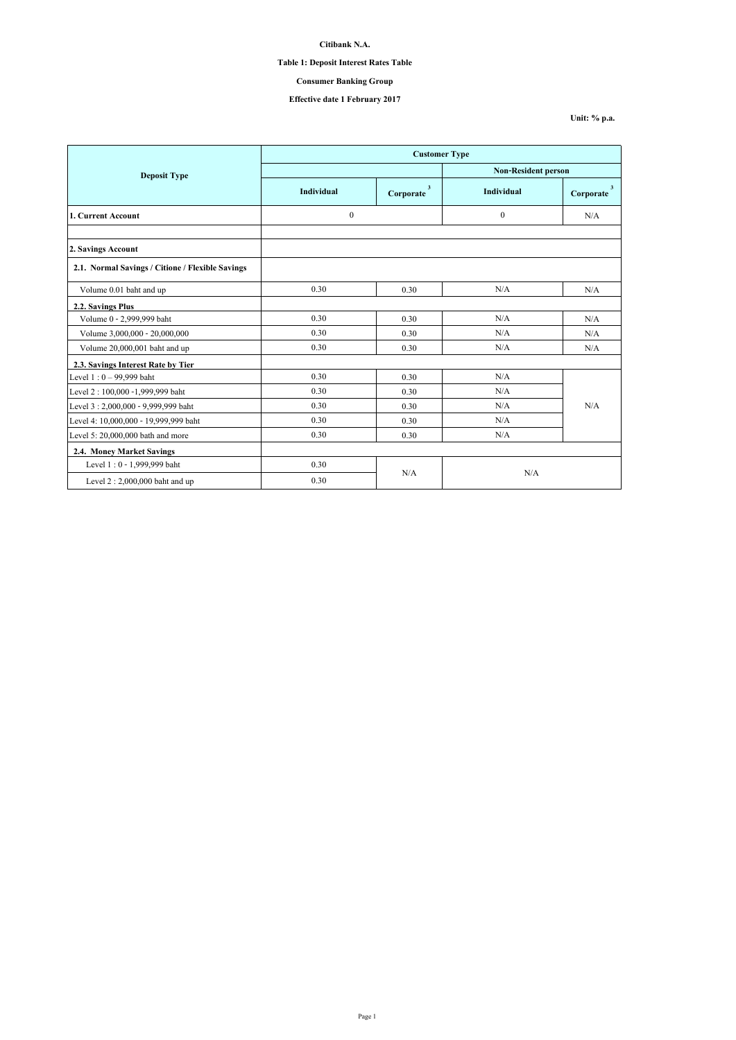## **Table 1: Deposit Interest Rates Table**

# **Consumer Banking Group**

# **Effective date 1 February 2017**

**Unit: % p.a.**

|                                                  | <b>Customer Type</b> |                                      |                            |                                      |
|--------------------------------------------------|----------------------|--------------------------------------|----------------------------|--------------------------------------|
| <b>Deposit Type</b>                              |                      |                                      | <b>Non-Resident person</b> |                                      |
|                                                  | Individual           | $\overline{\mathbf{3}}$<br>Corporate | Individual                 | $\overline{\mathbf{3}}$<br>Corporate |
| 1. Current Account                               | $\boldsymbol{0}$     |                                      | $\theta$                   | N/A                                  |
|                                                  |                      |                                      |                            |                                      |
| 2. Savings Account                               |                      |                                      |                            |                                      |
| 2.1. Normal Savings / Citione / Flexible Savings |                      |                                      |                            |                                      |
| Volume 0.01 baht and up                          | 0.30                 | 0.30                                 | N/A                        | N/A                                  |
| 2.2. Savings Plus                                |                      |                                      |                            |                                      |
| Volume 0 - 2,999,999 baht                        | 0.30                 | 0.30                                 | N/A                        | N/A                                  |
| Volume 3,000,000 - 20,000,000                    | 0.30                 | 0.30                                 | N/A                        | N/A                                  |
| Volume 20,000,001 baht and up                    | 0.30                 | 0.30                                 | N/A                        | N/A                                  |
| 2.3. Savings Interest Rate by Tier               |                      |                                      |                            |                                      |
| Level 1:0 - 99,999 baht                          | 0.30                 | 0.30                                 | N/A                        |                                      |
| Level 2: 100,000 -1,999,999 baht                 | 0.30                 | 0.30                                 | N/A                        |                                      |
| Level 3:2,000,000 - 9,999,999 baht               | 0.30                 | 0.30                                 | N/A                        | N/A                                  |
| Level 4: 10,000,000 - 19,999,999 baht            | 0.30                 | 0.30                                 | N/A                        |                                      |
| Level 5: 20,000,000 bath and more                | 0.30                 | 0.30                                 | N/A                        |                                      |
| 2.4. Money Market Savings                        |                      |                                      |                            |                                      |
| Level 1:0 - 1,999,999 baht                       | 0.30                 |                                      |                            |                                      |
| Level $2:2,000,000$ baht and up                  | 0.30                 | N/A                                  | N/A                        |                                      |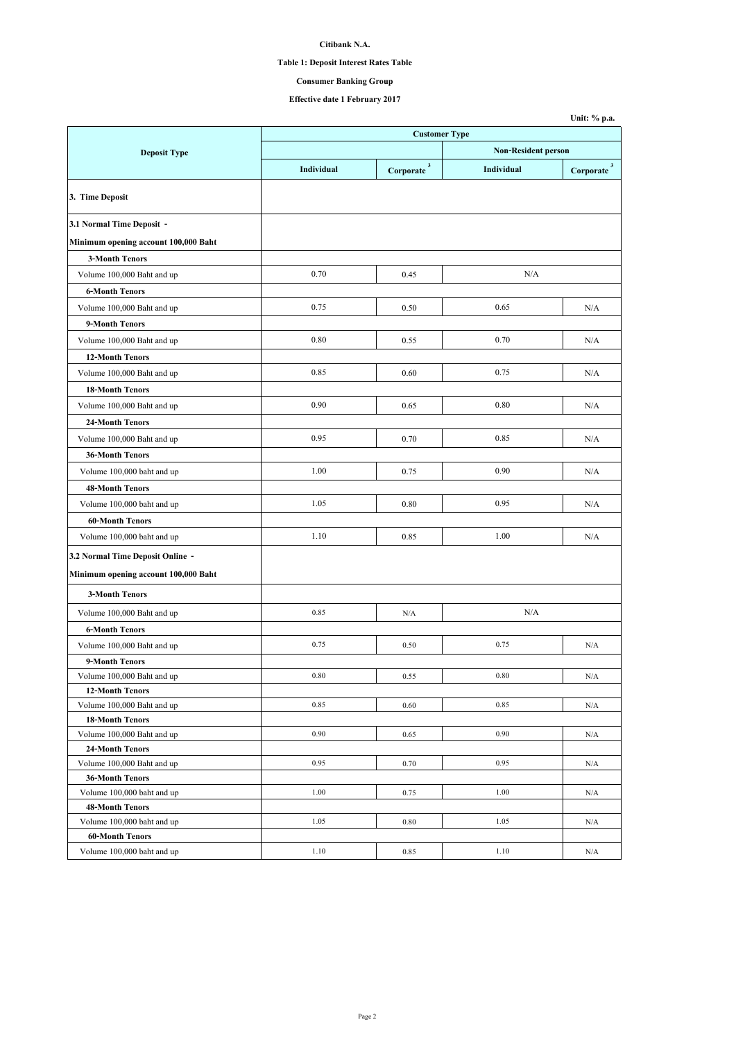# **Table 1: Deposit Interest Rates Table**

# **Consumer Banking Group**

|                                                      |                      |                                                        |                            | Unit: % p.a.                      |
|------------------------------------------------------|----------------------|--------------------------------------------------------|----------------------------|-----------------------------------|
|                                                      | <b>Customer Type</b> |                                                        |                            |                                   |
| <b>Deposit Type</b>                                  |                      |                                                        | <b>Non-Resident person</b> |                                   |
|                                                      | Individual           | $\label{eq:corporate} \textbf{Corporate} \, \text{^3}$ | Individual                 | $\textbf{Corporate} \text{ }^{3}$ |
| 3. Time Deposit                                      |                      |                                                        |                            |                                   |
| 3.1 Normal Time Deposit -                            |                      |                                                        |                            |                                   |
| Minimum opening account 100,000 Baht                 |                      |                                                        |                            |                                   |
| <b>3-Month Tenors</b>                                |                      |                                                        |                            |                                   |
| Volume 100,000 Baht and up                           | 0.70                 | 0.45                                                   | N/A                        |                                   |
| <b>6-Month Tenors</b>                                |                      |                                                        |                            |                                   |
| Volume 100,000 Baht and up                           | 0.75                 | 0.50                                                   | 0.65                       | N/A                               |
| 9-Month Tenors                                       |                      |                                                        |                            |                                   |
| Volume 100,000 Baht and up                           | 0.80                 | 0.55                                                   | 0.70                       | N/A                               |
| <b>12-Month Tenors</b>                               |                      |                                                        |                            |                                   |
| Volume 100,000 Baht and up                           | 0.85                 | 0.60                                                   | 0.75                       | N/A                               |
| <b>18-Month Tenors</b>                               |                      |                                                        |                            |                                   |
|                                                      | 0.90                 | 0.65                                                   | 0.80                       | N/A                               |
| Volume 100,000 Baht and up                           |                      |                                                        |                            |                                   |
| 24-Month Tenors                                      |                      |                                                        |                            |                                   |
| Volume 100,000 Baht and up                           | 0.95                 | 0.70                                                   | 0.85                       | N/A                               |
| <b>36-Month Tenors</b>                               |                      |                                                        |                            |                                   |
| Volume 100,000 baht and up                           | 1.00                 | 0.75                                                   | 0.90                       | N/A                               |
| <b>48-Month Tenors</b>                               |                      |                                                        |                            |                                   |
| Volume 100,000 baht and up                           | 1.05                 | 0.80                                                   | 0.95                       | N/A                               |
| <b>60-Month Tenors</b>                               |                      |                                                        |                            |                                   |
| Volume 100,000 baht and up                           | 1.10                 | 0.85                                                   | 1.00                       | N/A                               |
| 3.2 Normal Time Deposit Online -                     |                      |                                                        |                            |                                   |
| Minimum opening account 100,000 Baht                 |                      |                                                        |                            |                                   |
| <b>3-Month Tenors</b>                                |                      |                                                        |                            |                                   |
| Volume 100,000 Baht and up                           | 0.85                 | N/A                                                    | N/A                        |                                   |
| <b>6-Month Tenors</b>                                |                      |                                                        |                            |                                   |
| Volume 100,000 Baht and up                           | 0.75                 | 0.50                                                   | 0.75                       | N/A                               |
| 9-Month Tenors                                       |                      |                                                        |                            |                                   |
| Volume 100,000 Baht and up                           | 0.80                 | 0.55                                                   | 0.80                       | N/A                               |
| <b>12-Month Tenors</b>                               |                      |                                                        |                            |                                   |
| Volume 100,000 Baht and up                           | 0.85                 | 0.60                                                   | 0.85                       | N/A                               |
| <b>18-Month Tenors</b>                               |                      |                                                        |                            |                                   |
| Volume 100,000 Baht and up                           | 0.90                 | 0.65                                                   | 0.90                       | N/A                               |
| 24-Month Tenors                                      |                      |                                                        |                            |                                   |
| Volume 100,000 Baht and up                           | 0.95                 | 0.70                                                   | 0.95                       | N/A                               |
| <b>36-Month Tenors</b>                               |                      |                                                        |                            |                                   |
| Volume 100,000 baht and up                           | 1.00                 | 0.75                                                   | 1.00                       | N/A                               |
| <b>48-Month Tenors</b>                               |                      |                                                        |                            |                                   |
| Volume 100,000 baht and up                           | 1.05                 | 0.80                                                   | 1.05                       | N/A                               |
| <b>60-Month Tenors</b><br>Volume 100,000 baht and up | 1.10                 | 0.85                                                   | 1.10                       |                                   |
|                                                      |                      |                                                        |                            | N/A                               |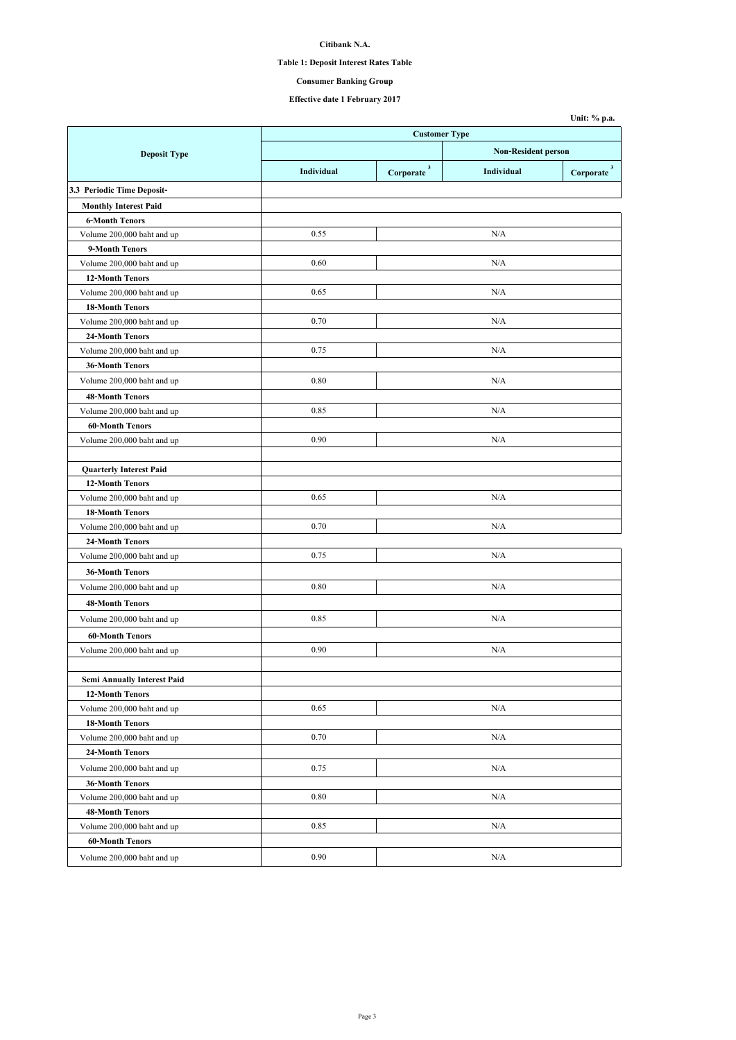**Table 1: Deposit Interest Rates Table**

**Consumer Banking Group**

| <b>Customer Type</b><br><b>Non-Resident person</b><br><b>Deposit Type</b><br>$Corporate$ <sup>3</sup><br>Individual<br>Individual<br>3.3 Periodic Time Deposit-<br><b>Monthly Interest Paid</b><br><b>6-Month Tenors</b><br>0.55<br>N/A<br>Volume 200,000 baht and up<br>9-Month Tenors<br>0.60<br>N/A<br>Volume 200,000 baht and up<br><b>12-Month Tenors</b><br>Volume 200,000 baht and up<br>0.65<br>N/A<br><b>18-Month Tenors</b><br>0.70<br>N/A<br>Volume 200,000 baht and up<br>24-Month Tenors<br>0.75<br>N/A<br>Volume 200,000 baht and up<br><b>36-Month Tenors</b><br>0.80<br>N/A<br>Volume 200,000 baht and up<br><b>48-Month Tenors</b><br>0.85<br>N/A<br>Volume 200,000 baht and up<br><b>60-Month Tenors</b><br>0.90<br>N/A<br>Volume 200,000 baht and up<br><b>Quarterly Interest Paid</b><br>12-Month Tenors<br>0.65<br>Volume 200,000 baht and up<br>N/A<br><b>18-Month Tenors</b><br>0.70<br>N/A<br>Volume 200,000 baht and up<br>24-Month Tenors<br>0.75<br>N/A<br>Volume 200,000 baht and up<br>36-Month Tenors<br>0.80<br>N/A<br>Volume 200,000 baht and up<br><b>48-Month Tenors</b><br>0.85<br>N/A<br>Volume 200,000 baht and up<br><b>60-Month Tenors</b><br>0.90<br>N/A<br>Volume 200,000 baht and up<br>Semi Annually Interest Paid<br><b>12-Month Tenors</b><br>0.65<br>N/A<br>Volume 200,000 baht and up<br><b>18-Month Tenors</b><br>0.70<br>Volume 200,000 baht and up<br>N/A<br>24-Month Tenors |                            |      |  |     | Unit: % p.a.                  |
|--------------------------------------------------------------------------------------------------------------------------------------------------------------------------------------------------------------------------------------------------------------------------------------------------------------------------------------------------------------------------------------------------------------------------------------------------------------------------------------------------------------------------------------------------------------------------------------------------------------------------------------------------------------------------------------------------------------------------------------------------------------------------------------------------------------------------------------------------------------------------------------------------------------------------------------------------------------------------------------------------------------------------------------------------------------------------------------------------------------------------------------------------------------------------------------------------------------------------------------------------------------------------------------------------------------------------------------------------------------------------------------------------------------------------------|----------------------------|------|--|-----|-------------------------------|
|                                                                                                                                                                                                                                                                                                                                                                                                                                                                                                                                                                                                                                                                                                                                                                                                                                                                                                                                                                                                                                                                                                                                                                                                                                                                                                                                                                                                                                |                            |      |  |     |                               |
|                                                                                                                                                                                                                                                                                                                                                                                                                                                                                                                                                                                                                                                                                                                                                                                                                                                                                                                                                                                                                                                                                                                                                                                                                                                                                                                                                                                                                                |                            |      |  |     |                               |
|                                                                                                                                                                                                                                                                                                                                                                                                                                                                                                                                                                                                                                                                                                                                                                                                                                                                                                                                                                                                                                                                                                                                                                                                                                                                                                                                                                                                                                |                            |      |  |     | $\bf{Corporate}$ <sup>3</sup> |
|                                                                                                                                                                                                                                                                                                                                                                                                                                                                                                                                                                                                                                                                                                                                                                                                                                                                                                                                                                                                                                                                                                                                                                                                                                                                                                                                                                                                                                |                            |      |  |     |                               |
|                                                                                                                                                                                                                                                                                                                                                                                                                                                                                                                                                                                                                                                                                                                                                                                                                                                                                                                                                                                                                                                                                                                                                                                                                                                                                                                                                                                                                                |                            |      |  |     |                               |
|                                                                                                                                                                                                                                                                                                                                                                                                                                                                                                                                                                                                                                                                                                                                                                                                                                                                                                                                                                                                                                                                                                                                                                                                                                                                                                                                                                                                                                |                            |      |  |     |                               |
|                                                                                                                                                                                                                                                                                                                                                                                                                                                                                                                                                                                                                                                                                                                                                                                                                                                                                                                                                                                                                                                                                                                                                                                                                                                                                                                                                                                                                                |                            |      |  |     |                               |
|                                                                                                                                                                                                                                                                                                                                                                                                                                                                                                                                                                                                                                                                                                                                                                                                                                                                                                                                                                                                                                                                                                                                                                                                                                                                                                                                                                                                                                |                            |      |  |     |                               |
|                                                                                                                                                                                                                                                                                                                                                                                                                                                                                                                                                                                                                                                                                                                                                                                                                                                                                                                                                                                                                                                                                                                                                                                                                                                                                                                                                                                                                                |                            |      |  |     |                               |
|                                                                                                                                                                                                                                                                                                                                                                                                                                                                                                                                                                                                                                                                                                                                                                                                                                                                                                                                                                                                                                                                                                                                                                                                                                                                                                                                                                                                                                |                            |      |  |     |                               |
|                                                                                                                                                                                                                                                                                                                                                                                                                                                                                                                                                                                                                                                                                                                                                                                                                                                                                                                                                                                                                                                                                                                                                                                                                                                                                                                                                                                                                                |                            |      |  |     |                               |
|                                                                                                                                                                                                                                                                                                                                                                                                                                                                                                                                                                                                                                                                                                                                                                                                                                                                                                                                                                                                                                                                                                                                                                                                                                                                                                                                                                                                                                |                            |      |  |     |                               |
|                                                                                                                                                                                                                                                                                                                                                                                                                                                                                                                                                                                                                                                                                                                                                                                                                                                                                                                                                                                                                                                                                                                                                                                                                                                                                                                                                                                                                                |                            |      |  |     |                               |
|                                                                                                                                                                                                                                                                                                                                                                                                                                                                                                                                                                                                                                                                                                                                                                                                                                                                                                                                                                                                                                                                                                                                                                                                                                                                                                                                                                                                                                |                            |      |  |     |                               |
|                                                                                                                                                                                                                                                                                                                                                                                                                                                                                                                                                                                                                                                                                                                                                                                                                                                                                                                                                                                                                                                                                                                                                                                                                                                                                                                                                                                                                                |                            |      |  |     |                               |
|                                                                                                                                                                                                                                                                                                                                                                                                                                                                                                                                                                                                                                                                                                                                                                                                                                                                                                                                                                                                                                                                                                                                                                                                                                                                                                                                                                                                                                |                            |      |  |     |                               |
|                                                                                                                                                                                                                                                                                                                                                                                                                                                                                                                                                                                                                                                                                                                                                                                                                                                                                                                                                                                                                                                                                                                                                                                                                                                                                                                                                                                                                                |                            |      |  |     |                               |
|                                                                                                                                                                                                                                                                                                                                                                                                                                                                                                                                                                                                                                                                                                                                                                                                                                                                                                                                                                                                                                                                                                                                                                                                                                                                                                                                                                                                                                |                            |      |  |     |                               |
|                                                                                                                                                                                                                                                                                                                                                                                                                                                                                                                                                                                                                                                                                                                                                                                                                                                                                                                                                                                                                                                                                                                                                                                                                                                                                                                                                                                                                                |                            |      |  |     |                               |
|                                                                                                                                                                                                                                                                                                                                                                                                                                                                                                                                                                                                                                                                                                                                                                                                                                                                                                                                                                                                                                                                                                                                                                                                                                                                                                                                                                                                                                |                            |      |  |     |                               |
|                                                                                                                                                                                                                                                                                                                                                                                                                                                                                                                                                                                                                                                                                                                                                                                                                                                                                                                                                                                                                                                                                                                                                                                                                                                                                                                                                                                                                                |                            |      |  |     |                               |
|                                                                                                                                                                                                                                                                                                                                                                                                                                                                                                                                                                                                                                                                                                                                                                                                                                                                                                                                                                                                                                                                                                                                                                                                                                                                                                                                                                                                                                |                            |      |  |     |                               |
|                                                                                                                                                                                                                                                                                                                                                                                                                                                                                                                                                                                                                                                                                                                                                                                                                                                                                                                                                                                                                                                                                                                                                                                                                                                                                                                                                                                                                                |                            |      |  |     |                               |
|                                                                                                                                                                                                                                                                                                                                                                                                                                                                                                                                                                                                                                                                                                                                                                                                                                                                                                                                                                                                                                                                                                                                                                                                                                                                                                                                                                                                                                |                            |      |  |     |                               |
|                                                                                                                                                                                                                                                                                                                                                                                                                                                                                                                                                                                                                                                                                                                                                                                                                                                                                                                                                                                                                                                                                                                                                                                                                                                                                                                                                                                                                                |                            |      |  |     |                               |
|                                                                                                                                                                                                                                                                                                                                                                                                                                                                                                                                                                                                                                                                                                                                                                                                                                                                                                                                                                                                                                                                                                                                                                                                                                                                                                                                                                                                                                |                            |      |  |     |                               |
|                                                                                                                                                                                                                                                                                                                                                                                                                                                                                                                                                                                                                                                                                                                                                                                                                                                                                                                                                                                                                                                                                                                                                                                                                                                                                                                                                                                                                                |                            |      |  |     |                               |
|                                                                                                                                                                                                                                                                                                                                                                                                                                                                                                                                                                                                                                                                                                                                                                                                                                                                                                                                                                                                                                                                                                                                                                                                                                                                                                                                                                                                                                |                            |      |  |     |                               |
|                                                                                                                                                                                                                                                                                                                                                                                                                                                                                                                                                                                                                                                                                                                                                                                                                                                                                                                                                                                                                                                                                                                                                                                                                                                                                                                                                                                                                                |                            |      |  |     |                               |
|                                                                                                                                                                                                                                                                                                                                                                                                                                                                                                                                                                                                                                                                                                                                                                                                                                                                                                                                                                                                                                                                                                                                                                                                                                                                                                                                                                                                                                |                            |      |  |     |                               |
|                                                                                                                                                                                                                                                                                                                                                                                                                                                                                                                                                                                                                                                                                                                                                                                                                                                                                                                                                                                                                                                                                                                                                                                                                                                                                                                                                                                                                                |                            |      |  |     |                               |
|                                                                                                                                                                                                                                                                                                                                                                                                                                                                                                                                                                                                                                                                                                                                                                                                                                                                                                                                                                                                                                                                                                                                                                                                                                                                                                                                                                                                                                |                            |      |  |     |                               |
|                                                                                                                                                                                                                                                                                                                                                                                                                                                                                                                                                                                                                                                                                                                                                                                                                                                                                                                                                                                                                                                                                                                                                                                                                                                                                                                                                                                                                                |                            |      |  |     |                               |
|                                                                                                                                                                                                                                                                                                                                                                                                                                                                                                                                                                                                                                                                                                                                                                                                                                                                                                                                                                                                                                                                                                                                                                                                                                                                                                                                                                                                                                |                            |      |  |     |                               |
|                                                                                                                                                                                                                                                                                                                                                                                                                                                                                                                                                                                                                                                                                                                                                                                                                                                                                                                                                                                                                                                                                                                                                                                                                                                                                                                                                                                                                                |                            |      |  |     |                               |
|                                                                                                                                                                                                                                                                                                                                                                                                                                                                                                                                                                                                                                                                                                                                                                                                                                                                                                                                                                                                                                                                                                                                                                                                                                                                                                                                                                                                                                |                            |      |  |     |                               |
|                                                                                                                                                                                                                                                                                                                                                                                                                                                                                                                                                                                                                                                                                                                                                                                                                                                                                                                                                                                                                                                                                                                                                                                                                                                                                                                                                                                                                                |                            |      |  |     |                               |
|                                                                                                                                                                                                                                                                                                                                                                                                                                                                                                                                                                                                                                                                                                                                                                                                                                                                                                                                                                                                                                                                                                                                                                                                                                                                                                                                                                                                                                |                            |      |  |     |                               |
|                                                                                                                                                                                                                                                                                                                                                                                                                                                                                                                                                                                                                                                                                                                                                                                                                                                                                                                                                                                                                                                                                                                                                                                                                                                                                                                                                                                                                                |                            |      |  |     |                               |
|                                                                                                                                                                                                                                                                                                                                                                                                                                                                                                                                                                                                                                                                                                                                                                                                                                                                                                                                                                                                                                                                                                                                                                                                                                                                                                                                                                                                                                |                            |      |  |     |                               |
|                                                                                                                                                                                                                                                                                                                                                                                                                                                                                                                                                                                                                                                                                                                                                                                                                                                                                                                                                                                                                                                                                                                                                                                                                                                                                                                                                                                                                                |                            |      |  |     |                               |
|                                                                                                                                                                                                                                                                                                                                                                                                                                                                                                                                                                                                                                                                                                                                                                                                                                                                                                                                                                                                                                                                                                                                                                                                                                                                                                                                                                                                                                |                            |      |  |     |                               |
|                                                                                                                                                                                                                                                                                                                                                                                                                                                                                                                                                                                                                                                                                                                                                                                                                                                                                                                                                                                                                                                                                                                                                                                                                                                                                                                                                                                                                                | Volume 200,000 baht and up | 0.75 |  | N/A |                               |
| <b>36-Month Tenors</b>                                                                                                                                                                                                                                                                                                                                                                                                                                                                                                                                                                                                                                                                                                                                                                                                                                                                                                                                                                                                                                                                                                                                                                                                                                                                                                                                                                                                         |                            |      |  |     |                               |
| 0.80<br>N/A<br>Volume 200,000 baht and up                                                                                                                                                                                                                                                                                                                                                                                                                                                                                                                                                                                                                                                                                                                                                                                                                                                                                                                                                                                                                                                                                                                                                                                                                                                                                                                                                                                      |                            |      |  |     |                               |
| <b>48-Month Tenors</b>                                                                                                                                                                                                                                                                                                                                                                                                                                                                                                                                                                                                                                                                                                                                                                                                                                                                                                                                                                                                                                                                                                                                                                                                                                                                                                                                                                                                         |                            |      |  |     |                               |
| 0.85<br>N/A<br>Volume 200,000 baht and up                                                                                                                                                                                                                                                                                                                                                                                                                                                                                                                                                                                                                                                                                                                                                                                                                                                                                                                                                                                                                                                                                                                                                                                                                                                                                                                                                                                      |                            |      |  |     |                               |
| 60-Month Tenors                                                                                                                                                                                                                                                                                                                                                                                                                                                                                                                                                                                                                                                                                                                                                                                                                                                                                                                                                                                                                                                                                                                                                                                                                                                                                                                                                                                                                |                            |      |  |     |                               |
| 0.90<br>N/A<br>Volume 200,000 baht and up                                                                                                                                                                                                                                                                                                                                                                                                                                                                                                                                                                                                                                                                                                                                                                                                                                                                                                                                                                                                                                                                                                                                                                                                                                                                                                                                                                                      |                            |      |  |     |                               |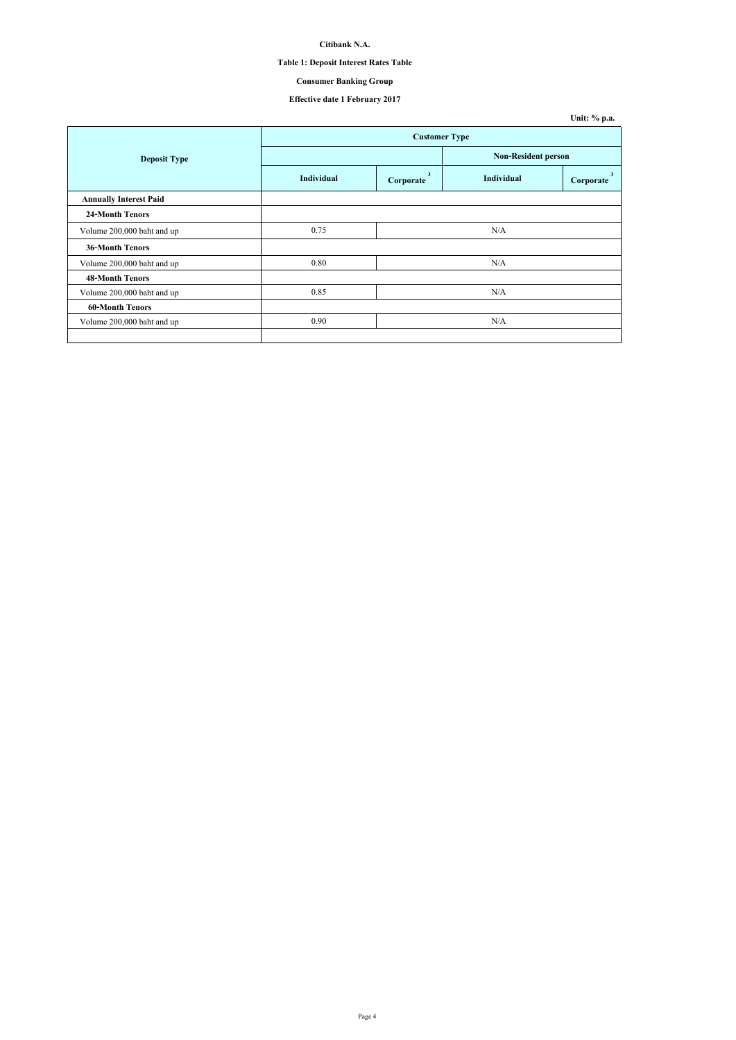## **Table 1: Deposit Interest Rates Table**

# **Consumer Banking Group**

|                               |                      |                |                     | Unit: % p.a. |  |
|-------------------------------|----------------------|----------------|---------------------|--------------|--|
|                               | <b>Customer Type</b> |                |                     |              |  |
| <b>Deposit Type</b>           |                      |                | Non-Resident person |              |  |
|                               | <b>Individual</b>    | 3<br>Corporate | Individual          | Corporate    |  |
| <b>Annually Interest Paid</b> |                      |                |                     |              |  |
| <b>24-Month Tenors</b>        |                      |                |                     |              |  |
| Volume 200,000 baht and up    | 0.75                 |                | N/A                 |              |  |
| <b>36-Month Tenors</b>        |                      |                |                     |              |  |
| Volume 200,000 baht and up    | 0.80                 |                | N/A                 |              |  |
| <b>48-Month Tenors</b>        |                      |                |                     |              |  |
| Volume 200,000 baht and up    | 0.85                 |                | N/A                 |              |  |
| <b>60-Month Tenors</b>        |                      |                |                     |              |  |
| Volume 200,000 baht and up    | 0.90                 |                | N/A                 |              |  |
|                               |                      |                |                     |              |  |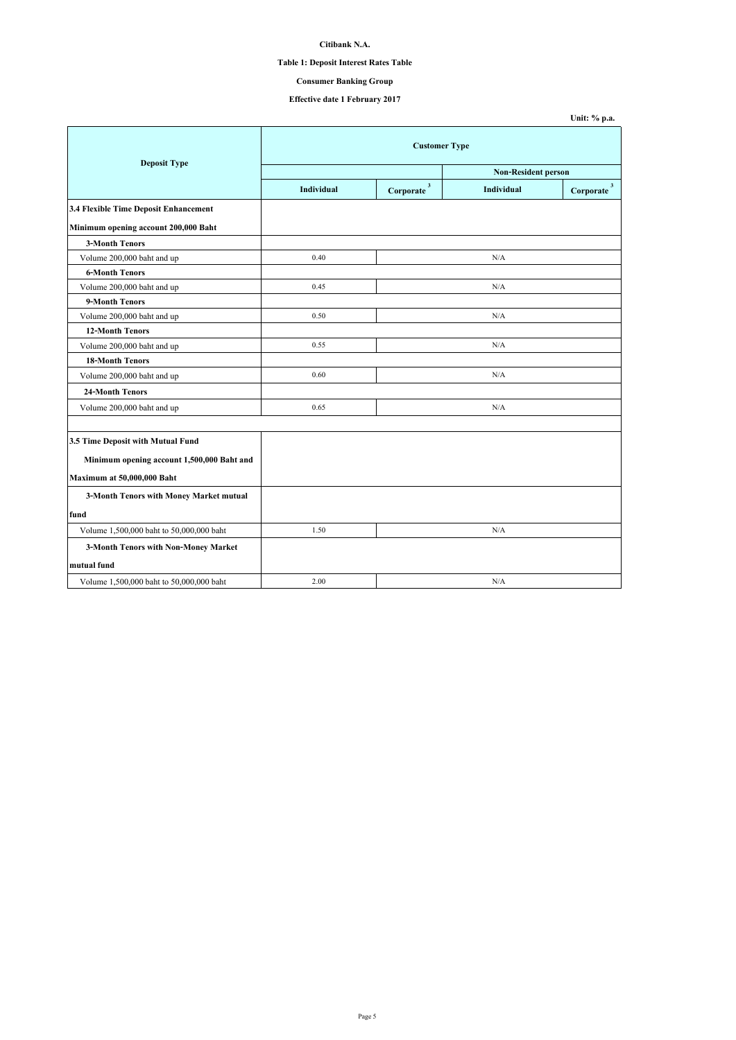## **Table 1: Deposit Interest Rates Table**

# **Consumer Banking Group**

|                                            |                            |                          |            | Unit: % p.a.              |  |
|--------------------------------------------|----------------------------|--------------------------|------------|---------------------------|--|
| <b>Deposit Type</b>                        | <b>Customer Type</b>       |                          |            |                           |  |
|                                            | <b>Non-Resident person</b> |                          |            |                           |  |
|                                            | <b>Individual</b>          | $Corporate$ <sup>3</sup> | Individual | $\mathbf{3}$<br>Corporate |  |
| 3.4 Flexible Time Deposit Enhancement      |                            |                          |            |                           |  |
| Minimum opening account 200,000 Baht       |                            |                          |            |                           |  |
| <b>3-Month Tenors</b>                      |                            |                          |            |                           |  |
| Volume 200,000 baht and up                 | 0.40                       |                          | N/A        |                           |  |
| <b>6-Month Tenors</b>                      |                            |                          |            |                           |  |
| Volume 200,000 baht and up                 | 0.45                       |                          | N/A        |                           |  |
| 9-Month Tenors                             |                            |                          |            |                           |  |
| Volume 200,000 baht and up                 | 0.50                       |                          | N/A        |                           |  |
| <b>12-Month Tenors</b>                     |                            |                          |            |                           |  |
| Volume 200,000 baht and up                 | 0.55                       |                          | N/A        |                           |  |
| <b>18-Month Tenors</b>                     |                            |                          |            |                           |  |
| Volume 200,000 baht and up                 | 0.60                       |                          | N/A        |                           |  |
| <b>24-Month Tenors</b>                     |                            |                          |            |                           |  |
| Volume 200,000 baht and up                 | 0.65                       |                          | N/A        |                           |  |
|                                            |                            |                          |            |                           |  |
| 3.5 Time Deposit with Mutual Fund          |                            |                          |            |                           |  |
| Minimum opening account 1,500,000 Baht and |                            |                          |            |                           |  |
| Maximum at 50,000,000 Baht                 |                            |                          |            |                           |  |
| 3-Month Tenors with Money Market mutual    |                            |                          |            |                           |  |
| fund                                       |                            |                          |            |                           |  |
| Volume 1,500,000 baht to 50,000,000 baht   | 1.50                       |                          | N/A        |                           |  |
| 3-Month Tenors with Non-Money Market       |                            |                          |            |                           |  |
| mutual fund                                |                            |                          |            |                           |  |
| Volume 1,500,000 baht to 50,000,000 baht   | 2.00                       |                          | N/A        |                           |  |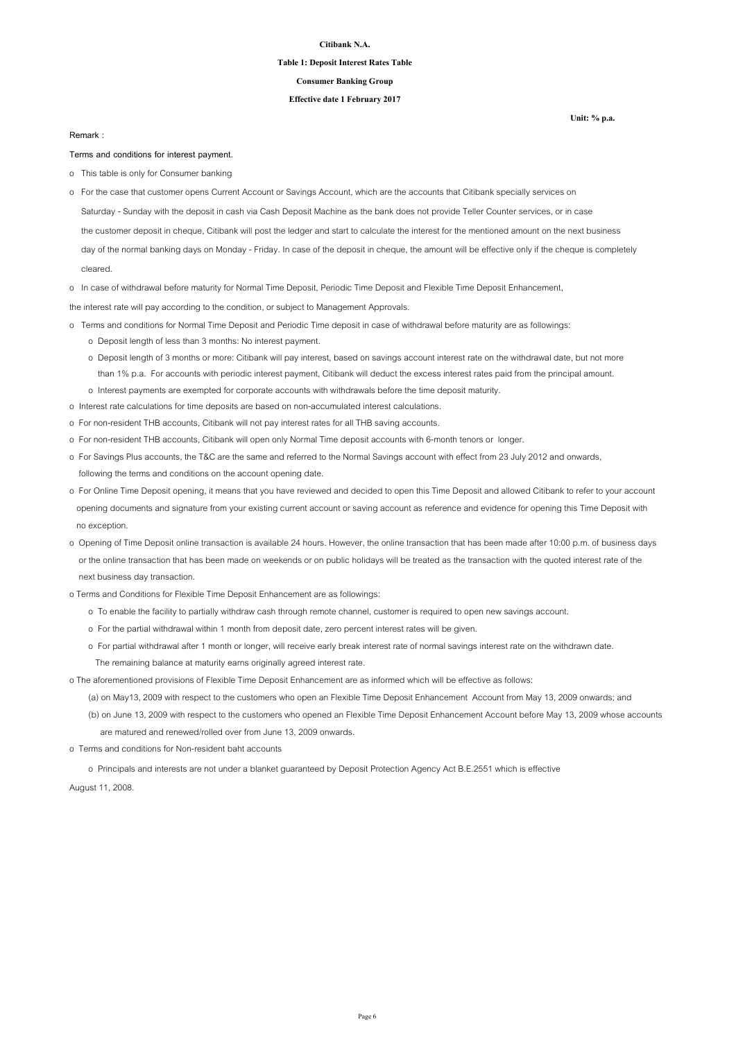### **Table 1: Deposit Interest Rates Table**

### **Consumer Banking Group**

### **Effective date 1 February 2017**

#### **Remark :**

#### **Terms and conditions for interest payment.**

- o This table is only for Consumer banking
- Saturday Sunday with the deposit in cash via Cash Deposit Machine as the bank does not provide Teller Counter services, or in case the customer deposit in cheque, Citibank will post the ledger and start to calculate the interest for the mentioned amount on the next business day of the normal banking days on Monday - Friday. In case of the deposit in cheque, the amount will be effective only if the cheque is completely o For the case that customer opens Current Account or Savings Account, which are the accounts that Citibank specially services on

cleared.

o In case of withdrawal before maturity for Normal Time Deposit, Periodic Time Deposit and Flexible Time Deposit Enhancement,

the interest rate will pay according to the condition, or subject to Management Approvals.

- o Terms and conditions for Normal Time Deposit and Periodic Time deposit in case of withdrawal before maturity are as followings: o Deposit length of less than 3 months: No interest payment.
	- o Deposit length of 3 months or more: Citibank will pay interest, based on savings account interest rate on the withdrawal date, but not more than 1% p.a. For accounts with periodic interest payment, Citibank will deduct the excess interest rates paid from the principal amount. o Interest payments are exempted for corporate accounts with withdrawals before the time deposit maturity.
- o Interest rate calculations for time deposits are based on non-accumulated interest calculations.
- o For non-resident THB accounts, Citibank will not pay interest rates for all THB saving accounts.
- o For non-resident THB accounts, Citibank will open only Normal Time deposit accounts with 6-month tenors or longer.
- o For Savings Plus accounts, the T&C are the same and referred to the Normal Savings account with effect from 23 July 2012 and onwards, following the terms and conditions on the account opening date.
- o For Online Time Deposit opening, it means that you have reviewed and decided to open this Time Deposit and allowed Citibank to refer to your account opening documents and signature from your existing current account or saving account as reference and evidence for opening this Time Deposit with no exception.
- o Opening of Time Deposit online transaction is available 24 hours. However, the online transaction that has been made after 10:00 p.m. of business days or the online transaction that has been made on weekends or on public holidays will be treated as the transaction with the quoted interest rate of the next business day transaction.
- o Terms and Conditions for Flexible Time Deposit Enhancement are as followings:
	- o To enable the facility to partially withdraw cash through remote channel, customer is required to open new savings account.
	- o For the partial withdrawal within 1 month from deposit date, zero percent interest rates will be given.
	- o For partial withdrawal after 1 month or longer, will receive early break interest rate of normal savings interest rate on the withdrawn date. The remaining balance at maturity earns originally agreed interest rate.

o The aforementioned provisions of Flexible Time Deposit Enhancement are as informed which will be effective as follows:

- (a) on May13, 2009 with respect to the customers who open an Flexible Time Deposit Enhancement Account from May 13, 2009 onwards; and
- (b) on June 13, 2009 with respect to the customers who opened an Flexible Time Deposit Enhancement Account before May 13, 2009 whose accounts are matured and renewed/rolled over from June 13, 2009 onwards.
- o Terms and conditions for Non-resident baht accounts

o Principals and interests are not under a blanket guaranteed by Deposit Protection Agency Act B.E.2551 which is effective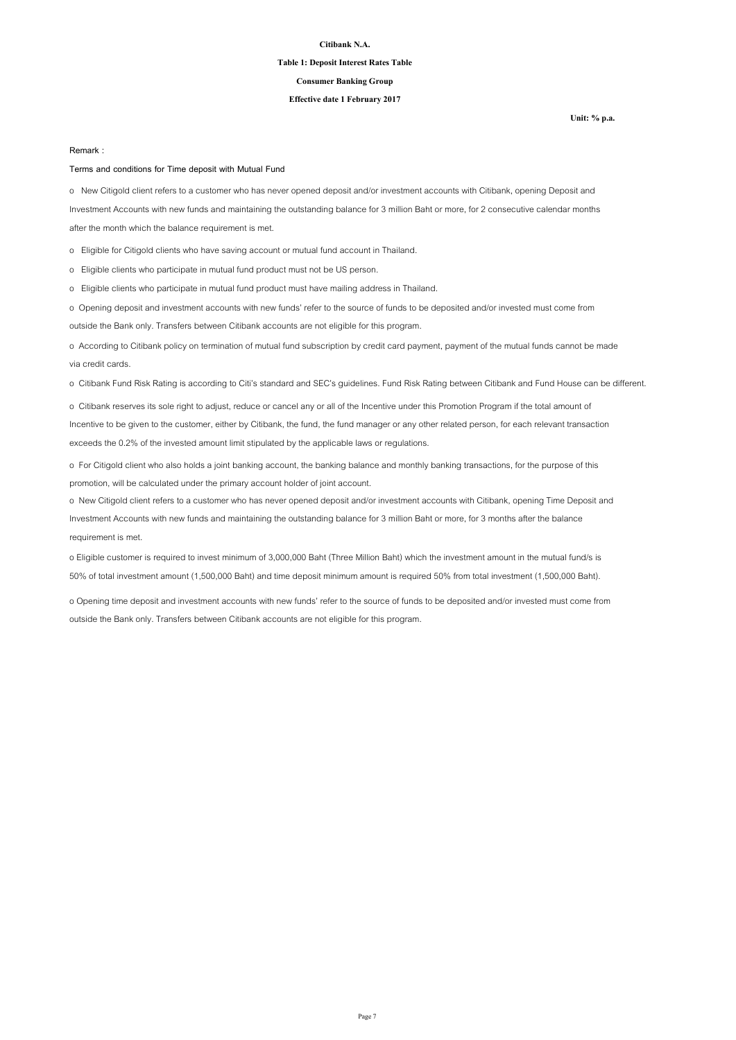### **Table 1: Deposit Interest Rates Table**

## **Consumer Banking Group**

### **Effective date 1 February 2017**

**Unit: % p.a.**

### **Remark :**

### **Terms and conditions for Time deposit with Mutual Fund**

o New Citigold client refers to a customer who has never opened deposit and/or investment accounts with Citibank, opening Deposit and Investment Accounts with new funds and maintaining the outstanding balance for 3 million Baht or more, for 2 consecutive calendar months after the month which the balance requirement is met.

o Eligible for Citigold clients who have saving account or mutual fund account in Thailand.

o Eligible clients who participate in mutual fund product must not be US person.

o Eligible clients who participate in mutual fund product must have mailing address in Thailand.

o Opening deposit and investment accounts with new funds' refer to the source of funds to be deposited and/or invested must come from outside the Bank only. Transfers between Citibank accounts are not eligible for this program.

o According to Citibank policy on termination of mutual fund subscription by credit card payment, payment of the mutual funds cannot be made via credit cards.

o Citibank Fund Risk Rating is according to Citi's standard and SEC's guidelines. Fund Risk Rating between Citibank and Fund House can be different.

o Citibank reserves its sole right to adjust, reduce or cancel any or all of the Incentive under this Promotion Program if the total amount of Incentive to be given to the customer, either by Citibank, the fund, the fund manager or any other related person, for each relevant transaction exceeds the 0.2% of the invested amount limit stipulated by the applicable laws or regulations.

o For Citigold client who also holds a joint banking account, the banking balance and monthly banking transactions, for the purpose of this promotion, will be calculated under the primary account holder of joint account.

o New Citigold client refers to a customer who has never opened deposit and/or investment accounts with Citibank, opening Time Deposit and Investment Accounts with new funds and maintaining the outstanding balance for 3 million Baht or more, for 3 months after the balance requirement is met.

o Eligible customer is required to invest minimum of 3,000,000 Baht (Three Million Baht) which the investment amount in the mutual fund/s is 50% of total investment amount (1,500,000 Baht) and time deposit minimum amount is required 50% from total investment (1,500,000 Baht).

o Opening time deposit and investment accounts with new funds' refer to the source of funds to be deposited and/or invested must come from outside the Bank only. Transfers between Citibank accounts are not eligible for this program.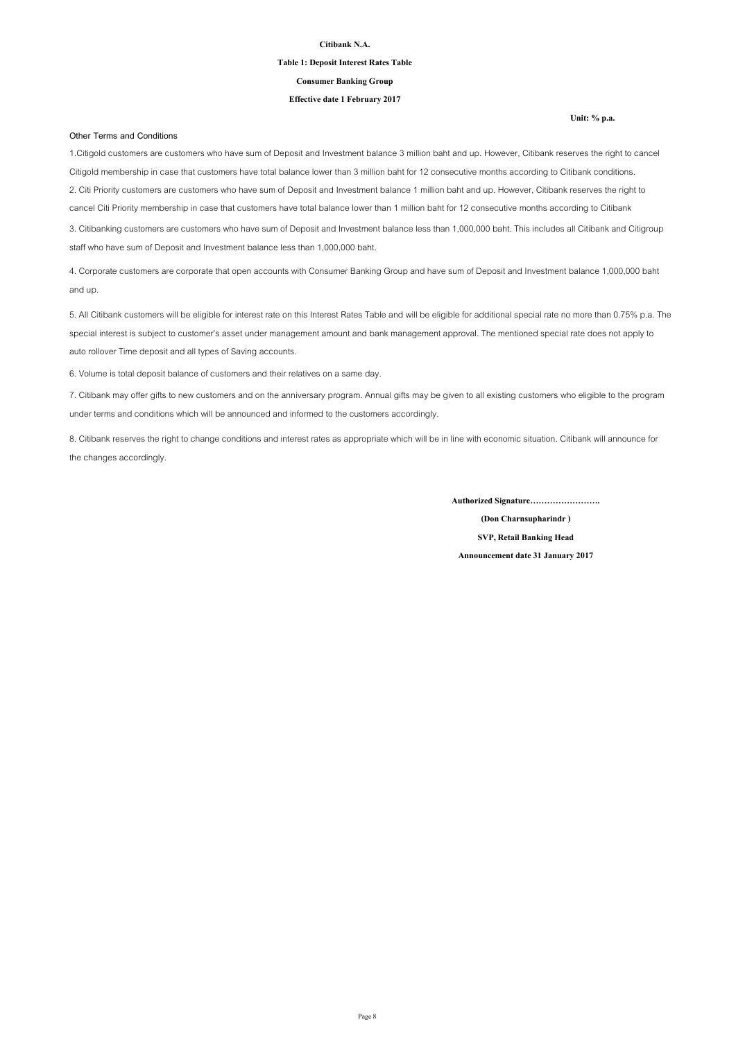### **Table 1: Deposit Interest Rates Table**

**Consumer Banking Group**

#### **Effective date 1 February 2017**

**Other Terms and Conditions**

1.Citigold customers are customers who have sum of Deposit and Investment balance 3 million baht and up. However, Citibank reserves the right to cancel Citigold membership in case that customers have total balance lower than 3 million baht for 12 consecutive months according to Citibank conditions. 2. Citi Priority customers are customers who have sum of Deposit and Investment balance 1 million baht and up. However, Citibank reserves the right to cancel Citi Priority membership in case that customers have total balance lower than 1 million baht for 12 consecutive months according to Citibank 3. Citibanking customers are customers who have sum of Deposit and Investment balance less than 1,000,000 baht. This includes all Citibank and Citigroup

4. Corporate customers are corporate that open accounts with Consumer Banking Group and have sum of Deposit and Investment balance 1,000,000 baht and up.

5. All Citibank customers will be eligible for interest rate on this Interest Rates Table and will be eligible for additional special rate no more than 0.75% p.a. The special interest is subject to customer's asset under management amount and bank management approval. The mentioned special rate does not apply to auto rollover Time deposit and all types of Saving accounts.

6. Volume is total deposit balance of customers and their relatives on a same day.

staff who have sum of Deposit and Investment balance less than 1,000,000 baht.

7. Citibank may offer gifts to new customers and on the anniversary program. Annual gifts may be given to all existing customers who eligible to the program under terms and conditions which will be announced and informed to the customers accordingly.

8. Citibank reserves the right to change conditions and interest rates as appropriate which will be in line with economic situation. Citibank will announce for the changes accordingly.

**Authorized Signature…………………….**

**(Don Charnsupharindr ) SVP, Retail Banking Head Announcement date 31 January 2017**

#### **Unit: % p.a.**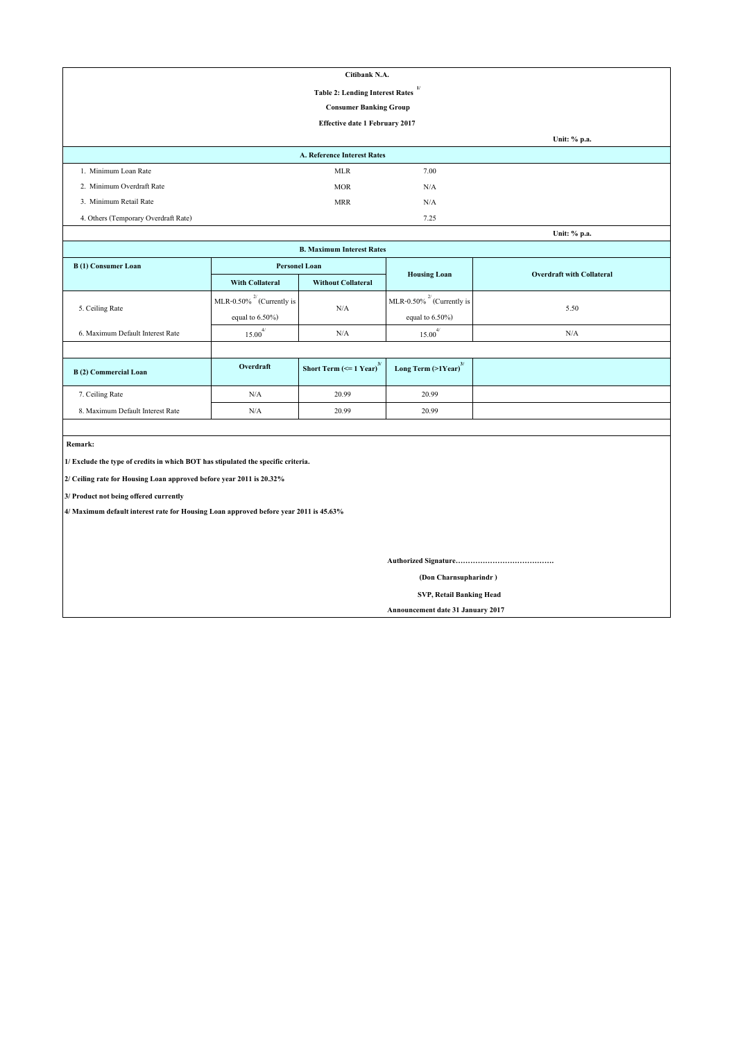| Citibank N.A.                        |                                              |      |              |  |  |
|--------------------------------------|----------------------------------------------|------|--------------|--|--|
|                                      | 1/<br><b>Table 2: Lending Interest Rates</b> |      |              |  |  |
|                                      | <b>Consumer Banking Group</b>                |      |              |  |  |
| Effective date 1 February 2017       |                                              |      |              |  |  |
|                                      |                                              |      | Unit: % p.a. |  |  |
| <b>A. Reference Interest Rates</b>   |                                              |      |              |  |  |
| 1. Minimum Loan Rate                 | <b>MLR</b>                                   | 7.00 |              |  |  |
| 2. Minimum Overdraft Rate            | <b>MOR</b>                                   | N/A  |              |  |  |
| 3. Minimum Retail Rate               | <b>MRR</b>                                   | N/A  |              |  |  |
| 4. Others (Temporary Overdraft Rate) |                                              | 7.25 |              |  |  |
|                                      |                                              |      | Unit: % p.a. |  |  |

| <b>B. Maximum Interest Rates</b> |                                |                                               |                                     |                                  |  |
|----------------------------------|--------------------------------|-----------------------------------------------|-------------------------------------|----------------------------------|--|
| B(1) Consumer Loan               | <b>Personel Loan</b>           |                                               | <b>Housing Loan</b>                 | <b>Overdraft with Collateral</b> |  |
|                                  | <b>With Collateral</b>         | <b>Without Collateral</b>                     |                                     |                                  |  |
|                                  | MLR-0.50% $^{2}$ (Currently is | N/A                                           | MLR-0.50% $^{27}$ (Currently is     | 5.50                             |  |
| 5. Ceiling Rate                  | equal to $6.50\%$ )            |                                               | equal to $6.50\%$ )                 |                                  |  |
| 6. Maximum Default Interest Rate | $15.00$ <sup>*</sup>           | N/A                                           | 4/<br>15.00                         | N/A                              |  |
|                                  |                                |                                               |                                     |                                  |  |
| B(2) Commercial Loan             | Overdraft                      | Short Term $\left(\leq 1$ Year) <sup>3/</sup> | Long Term $(>1$ Year) <sup>3/</sup> |                                  |  |
| 7. Ceiling Rate                  | N/A                            | 20.99                                         | 20.99                               |                                  |  |
| 8. Maximum Default Interest Rate | N/A                            | 20.99                                         | 20.99                               |                                  |  |

 **Remark:**

**1/ Exclude the type of credits in which BOT has stipulated the specific criteria.**

**2/ Ceiling rate for Housing Loan approved before year 2011 is 20.32%**

**3/ Product not being offered currently**

**4/ Maximum default interest rate for Housing Loan approved before year 2011 is 45.63%**

**Authorized Signature………………………………….**

 **(Don Charnsupharindr )**

 **SVP, Retail Banking Head**

**Announcement date 31 January 2017**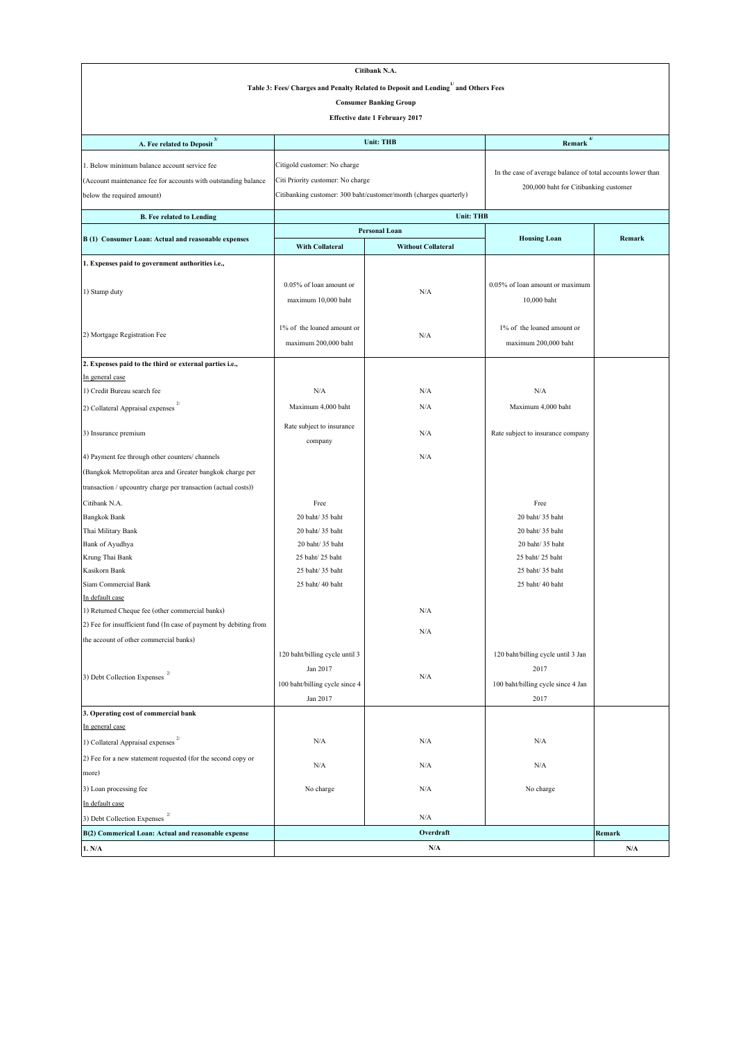| Citibank N.A.                                                                                   |                                   |                                                                   |                                                             |                         |
|-------------------------------------------------------------------------------------------------|-----------------------------------|-------------------------------------------------------------------|-------------------------------------------------------------|-------------------------|
| Table 3: Fees/ Charges and Penalty Related to Deposit and Lending <sup>1/</sup> and Others Fees |                                   |                                                                   |                                                             |                         |
|                                                                                                 |                                   | <b>Consumer Banking Group</b>                                     |                                                             |                         |
|                                                                                                 |                                   | <b>Effective date 1 February 2017</b>                             |                                                             |                         |
|                                                                                                 |                                   |                                                                   |                                                             |                         |
| A. Fee related to Deposit <sup>3/</sup>                                                         |                                   | <b>Unit: THB</b>                                                  | $4/$<br>Remark                                              |                         |
| 1. Below minimum balance account service fee                                                    | Citigold customer: No charge      |                                                                   |                                                             |                         |
| (Account maintenance fee for accounts with outstanding balance                                  | Citi Priority customer: No charge |                                                                   | In the case of average balance of total accounts lower than |                         |
| below the required amount)                                                                      |                                   | Citibanking customer: 300 baht/customer/month (charges quarterly) | 200,000 baht for Citibanking customer                       |                         |
|                                                                                                 |                                   |                                                                   |                                                             |                         |
| <b>B.</b> Fee related to Lending                                                                |                                   | <b>Unit: THB</b><br><b>Personal Loan</b>                          |                                                             |                         |
| B (1) Consumer Loan: Actual and reasonable expenses                                             |                                   |                                                                   | <b>Housing Loan</b>                                         | Remark                  |
|                                                                                                 | <b>With Collateral</b>            | <b>Without Collateral</b>                                         |                                                             |                         |
| 1. Expenses paid to government authorities i.e.,                                                |                                   |                                                                   |                                                             |                         |
| 1) Stamp duty                                                                                   | 0.05% of loan amount or           | N/A                                                               | 0.05% of loan amount or maximum                             |                         |
|                                                                                                 | maximum 10,000 baht               |                                                                   | 10,000 baht                                                 |                         |
|                                                                                                 |                                   |                                                                   |                                                             |                         |
|                                                                                                 | 1% of the loaned amount or        | N/A                                                               | 1% of the loaned amount or                                  |                         |
| 2) Mortgage Registration Fee                                                                    | maximum 200,000 baht              |                                                                   | maximum 200,000 baht                                        |                         |
| 2. Expenses paid to the third or external parties i.e.,                                         |                                   |                                                                   |                                                             |                         |
| In general case                                                                                 |                                   |                                                                   |                                                             |                         |
| 1) Credit Bureau search fee                                                                     | N/A                               | N/A                                                               | N/A                                                         |                         |
| 2) Collateral Appraisal expenses                                                                | Maximum 4,000 baht                | N/A                                                               | Maximum 4,000 baht                                          |                         |
|                                                                                                 |                                   |                                                                   |                                                             |                         |
| 3) Insurance premium                                                                            | Rate subject to insurance         | N/A                                                               | Rate subject to insurance company                           |                         |
|                                                                                                 | company                           |                                                                   |                                                             |                         |
| 4) Payment fee through other counters/ channels                                                 |                                   | N/A                                                               |                                                             |                         |
| (Bangkok Metropolitan area and Greater bangkok charge per                                       |                                   |                                                                   |                                                             |                         |
| transaction / upcountry charge per transaction (actual costs))                                  |                                   |                                                                   |                                                             |                         |
| Citibank N.A.                                                                                   | Free                              |                                                                   | Free                                                        |                         |
| <b>Bangkok Bank</b>                                                                             | 20 baht/ 35 baht                  |                                                                   | 20 baht/ 35 baht                                            |                         |
| Thai Military Bank                                                                              | 20 baht/ 35 baht                  |                                                                   | 20 baht/35 baht                                             |                         |
| Bank of Ayudhya                                                                                 | 20 baht/ 35 baht                  |                                                                   | 20 baht/ 35 baht                                            |                         |
| Krung Thai Bank                                                                                 | 25 baht/25 baht                   |                                                                   | 25 baht/ 25 baht                                            |                         |
| Kasikorn Bank                                                                                   | 25 baht/ 35 baht                  |                                                                   | 25 baht/ 35 baht                                            |                         |
| Siam Commercial Bank<br>In default case                                                         | 25 baht/ 40 baht                  |                                                                   | 25 baht/ 40 baht                                            |                         |
| 1) Returned Cheque fee (other commercial banks)                                                 |                                   | N/A                                                               |                                                             |                         |
| 2) Fee for insufficient fund (In case of payment by debiting from                               |                                   |                                                                   |                                                             |                         |
| the account of other commercial banks)                                                          |                                   | N/A                                                               |                                                             |                         |
|                                                                                                 | 120 baht/billing cycle until 3    |                                                                   | 120 baht/billing cycle until 3 Jan                          |                         |
|                                                                                                 | Jan 2017                          |                                                                   | 2017                                                        |                         |
| 3) Debt Collection Expenses $^{\mathrm{2/}}$                                                    | 100 baht/billing cycle since 4    | N/A                                                               | 100 baht/billing cycle since 4 Jan                          |                         |
|                                                                                                 | Jan 2017                          |                                                                   | 2017                                                        |                         |
| 3. Operating cost of commercial bank                                                            |                                   |                                                                   |                                                             |                         |
| In general case                                                                                 |                                   |                                                                   |                                                             |                         |
| 1) Collateral Appraisal expenses                                                                | N/A                               | N/A                                                               | N/A                                                         |                         |
| 2) Fee for a new statement requested (for the second copy or                                    |                                   |                                                                   |                                                             |                         |
| more)                                                                                           | N/A                               | N/A                                                               | N/A                                                         |                         |
| 3) Loan processing fee                                                                          | No charge                         | N/A                                                               | No charge                                                   |                         |
| In default case                                                                                 |                                   |                                                                   |                                                             |                         |
| 3) Debt Collection Expenses                                                                     |                                   | N/A                                                               |                                                             |                         |
| B(2) Commerical Loan: Actual and reasonable expense                                             |                                   | Overdraft                                                         |                                                             | Remark                  |
| 1. N/A                                                                                          |                                   | N/A                                                               |                                                             | $\mathbf{N}/\mathbf{A}$ |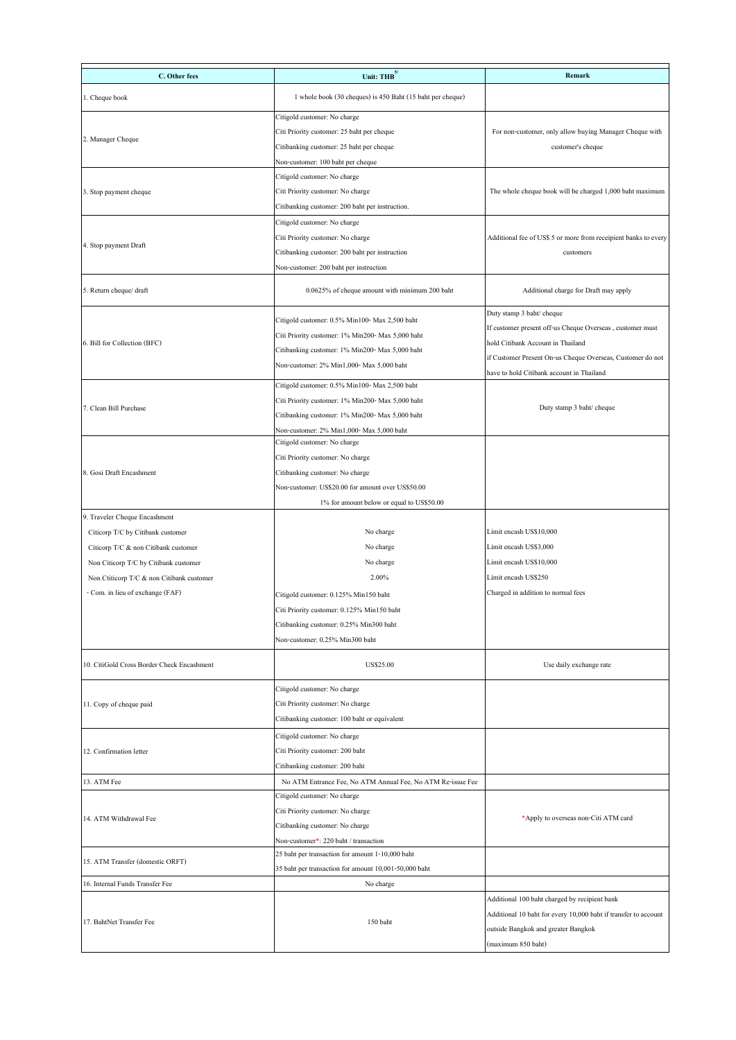| C. Other fees                              | Unit: THB $^{5/}$                                           | <b>Remark</b>                                                   |
|--------------------------------------------|-------------------------------------------------------------|-----------------------------------------------------------------|
|                                            |                                                             |                                                                 |
| 1. Cheque book                             | 1 whole book (30 cheques) is 450 Baht (15 baht per cheque)  |                                                                 |
|                                            | Citigold customer: No charge                                |                                                                 |
|                                            | Citi Priority customer: 25 baht per cheque                  | For non-customer, only allow buying Manager Cheque with         |
| 2. Manager Cheque                          | Citibanking customer: 25 baht per cheque                    | customer's cheque                                               |
|                                            | Non-customer: 100 baht per cheque                           |                                                                 |
|                                            | Citigold customer: No charge                                |                                                                 |
| 3. Stop payment cheque                     | Citi Priority customer: No charge                           | The whole cheque book will be charged 1,000 baht maximum        |
|                                            | Citibanking customer: 200 baht per instruction.             |                                                                 |
|                                            | Citigold customer: No charge                                |                                                                 |
|                                            | Citi Priority customer: No charge                           | Additional fee of US\$ 5 or more from receipient banks to every |
| 4. Stop payment Draft                      | Citibanking customer: 200 baht per instruction              | customers                                                       |
|                                            | Non-customer: 200 baht per instruction                      |                                                                 |
| 5. Return cheque/ draft                    | 0.0625% of cheque amount with minimum 200 baht              | Additional charge for Draft may apply                           |
|                                            |                                                             | Duty stamp 3 baht/ cheque                                       |
|                                            | Citigold customer: 0.5% Min100- Max 2,500 baht              | If customer present off-us Cheque Overseas, customer must       |
| 6. Bill for Collection (BFC)               | Citi Priority customer: 1% Min200- Max 5,000 baht           | hold Citibank Account in Thailand                               |
|                                            | Citibanking customer: 1% Min200- Max 5,000 baht             | if Customer Present On-us Cheque Overseas, Customer do not      |
|                                            | Non-customer: 2% Min1,000- Max 5,000 baht                   | have to hold Citibank account in Thailand                       |
|                                            | Citigold customer: 0.5% Min100- Max 2,500 baht              |                                                                 |
|                                            | Citi Priority customer: 1% Min200- Max 5,000 baht           |                                                                 |
| 7. Clean Bill Purchase                     | Citibanking customer: 1% Min200- Max 5,000 baht             | Duty stamp 3 baht/ cheque                                       |
|                                            | Non-customer: 2% Min1,000- Max 5,000 baht                   |                                                                 |
|                                            | Citigold customer: No charge                                |                                                                 |
|                                            | Citi Priority customer: No charge                           |                                                                 |
| 8. Gosi Draft Encashment                   | Citibanking customer: No charge                             |                                                                 |
|                                            | Non-customer: US\$20.00 for amount over US\$50.00           |                                                                 |
|                                            | 1% for amount below or equal to US\$50.00                   |                                                                 |
| 9. Traveler Cheque Encashment              |                                                             |                                                                 |
| Citicorp T/C by Citibank customer          | No charge                                                   | Limit encash US\$10,000                                         |
| Citicorp T/C & non Citibank customer       | No charge                                                   | Limit encash US\$3,000                                          |
| Non Citicorp T/C by Citibank customer      | No charge                                                   | Limit encash US\$10,000                                         |
| Non Ctiticorp T/C & non Citibank customer  | 2.00%                                                       | Limit encash US\$250                                            |
| - Com. in lieu of exchange (FAF)           | Citigold customer: 0.125% Min150 baht                       | Charged in addition to normal fees                              |
|                                            | Citi Priority customer: 0.125% Min150 baht                  |                                                                 |
|                                            | Citibanking customer: 0.25% Min300 baht                     |                                                                 |
|                                            | Non-customer: 0.25% Min300 baht                             |                                                                 |
| 10. CitiGold Cross Border Check Encashment | US\$25.00                                                   | Use daily exchange rate                                         |
|                                            |                                                             |                                                                 |
|                                            | Citigold customer: No charge                                |                                                                 |
| 11. Copy of cheque paid                    | Citi Priority customer: No charge                           |                                                                 |
|                                            | Citibanking customer: 100 baht or equivalent                |                                                                 |
|                                            | Citigold customer: No charge                                |                                                                 |
| 12. Confirmation letter                    | Citi Priority customer: 200 baht                            |                                                                 |
|                                            | Citibanking customer: 200 baht                              |                                                                 |
| 13. ATM Fee                                | No ATM Entrance Fee, No ATM Annual Fee, No ATM Re-issue Fee |                                                                 |
|                                            | Citigold customer: No charge                                |                                                                 |
| 14. ATM Withdrawal Fee                     | Citi Priority customer: No charge                           | *Apply to overseas non-Citi ATM card                            |
|                                            | Citibanking customer: No charge                             |                                                                 |
|                                            | Non-customer*: 220 baht / transaction                       |                                                                 |
| 15. ATM Transfer (domestic ORFT)           | 25 baht per transaction for amount 1-10,000 baht            |                                                                 |
|                                            | 35 baht per transaction for amount 10,001-50,000 baht       |                                                                 |
| 16. Internal Funds Transfer Fee            | No charge                                                   |                                                                 |
|                                            |                                                             | Additional 100 baht charged by recipient bank                   |
| 17. BahtNet Transfer Fee                   | 150 baht                                                    | Additional 10 baht for every 10,000 baht if transfer to account |
|                                            |                                                             | outside Bangkok and greater Bangkok                             |
|                                            |                                                             | (maximum 850 baht)                                              |